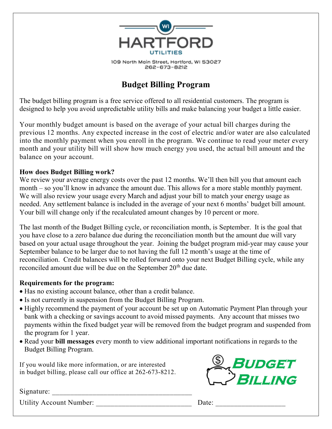

109 North Main Street, Hartford, WI 53027 262-673-8212

# Budget Billing Program

The budget billing program is a free service offered to all residential customers. The program is designed to help you avoid unpredictable utility bills and make balancing your budget a little easier.

Your monthly budget amount is based on the average of your actual bill charges during the previous 12 months. Any expected increase in the cost of electric and/or water are also calculated into the monthly payment when you enroll in the program. We continue to read your meter every month and your utility bill will show how much energy you used, the actual bill amount and the balance on your account.

### How does Budget Billing work?

We review your average energy costs over the past 12 months. We'll then bill you that amount each month – so you'll know in advance the amount due. This allows for a more stable monthly payment. We will also review your usage every March and adjust your bill to match your energy usage as needed. Any settlement balance is included in the average of your next 6 months' budget bill amount. Your bill will change only if the recalculated amount changes by 10 percent or more.

The last month of the Budget Billing cycle, or reconciliation month, is September. It is the goal that you have close to a zero balance due during the reconciliation month but the amount due will vary based on your actual usage throughout the year. Joining the budget program mid-year may cause your September balance to be larger due to not having the full 12 month's usage at the time of reconciliation. Credit balances will be rolled forward onto your next Budget Billing cycle, while any reconciled amount due will be due on the September 20<sup>th</sup> due date.

## Requirements for the program:

- Has no existing account balance, other than a credit balance.
- Is not currently in suspension from the Budget Billing Program.
- Highly recommend the payment of your account be set up on Automatic Payment Plan through your bank with a checking or savings account to avoid missed payments. Any account that misses two payments within the fixed budget year will be removed from the budget program and suspended from the program for 1 year.
- Read your bill messages every month to view additional important notifications in regards to the Budget Billing Program.

If you would like more information, or are interested in budget billing, please call our office at 262-673-8212.



 $S$ ignature:

Utility Account Number: Date: